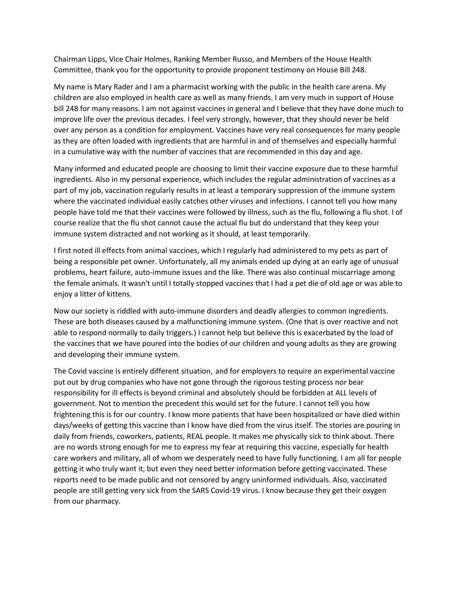Chairman Lipps, Vice Chair Holmes, Ranking Member Russo, and Members of the House Health Committee, thank you for the opportunity to provide proponent testimony on House Bill 248.

My name is Mary Rader and I am a pharmacist working with the public in the health care arena. My children are also employed in health care as well as many friends. I am very much in support of House bill 248 for many reasons. I am not against vaccines in general and I believe that they have done much to improve life over the previous decades. I feel very strongly, however, that they should never be held over any person as a condition for employment. Vaccines have very real consequences for many people as they are often loaded with ingredients that are harmful in and of themselves and especially harmful in a cumulative way with the number of vaccines that are recommended in this day and age.

Many informed and educated people are choosing to limit their vaccine exposure due to these harmful ingredients. Also in my personal experience, which includes the regular administration of vaccines as a part of my job, vaccination regularly results in at least a temporary suppression of the immune system where the vaccinated individual easily catches other viruses and infections. I cannot tell you how many people have told me that their vaccines were followed by illness, such as the flu, following a flu shot. I of course realize that the flu shot cannot cause the actual flu but do understand that they keep your immune system distracted and not working as it should, at least temporarily.

I first noted ill effects from animal vaccines, which I regularly had administered to my pets as part of being a responsible pet owner. Unfortunately, all my animals ended up dying at an early age of unusual problems, heart failure, auto-immune issues and the like. There was also continual miscarriage among the female animals. It wasn't until I totally stopped vaccines that I had a pet die of old age or was able to enjoy a litter of kittens.

Now our society is riddled with auto-immune disorders and deadly allergies to common ingredients. These are both diseases caused by a malfunctioning immune system. (One that is over reactive and not able to respond normally to daily triggers.) I cannot help but believe this is exacerbated by the load of the vaccines that we have poured into the bodies of our children and young adults as they are growing and developing their immune system.

The Covid vaccine is entirely different situation, and for employers to require an experimental vaccine put out by drug companies who have not gone through the rigorous testing process nor bear responsibility for ill effects is beyond criminal and absolutely should be forbidden at ALL levels of government. Not to mention the precedent this would set for the future. I cannot tell you how frightening this is for our country. I know more patients that have been hospitalized or have died within days/weeks of getting this vaccine than I know have died from the virus itself. The stories are pouring in daily from friends, coworkers, patients, REAL people. It makes me physically sick to think about. There are no words strong enough for me to express my fear at requiring this vaccine, especially for health care workers and military, all of whom we desperately need to have fully functioning. I am all for people getting it who truly want it, but even they need better information before getting vaccinated. These reports need to be made public and not censored by angry uninformed individuals. Also, vaccinated people are still getting very sick from the SARS Covid-19 virus. I know because they get their oxygen from our pharmacy.